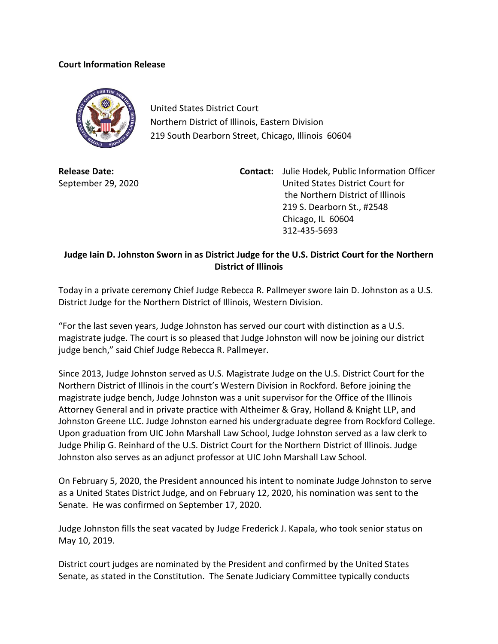## **Court Information Release**



United States District Court Northern District of Illinois, Eastern Division 219 South Dearborn Street, Chicago, Illinois 60604

**Release Date:** September 29, 2020

**Contact:** Julie Hodek, Public Information Officer United States District Court for the Northern District of Illinois 219 S. Dearborn St., #2548 Chicago, IL 60604 312-435-5693

## **Judge Iain D. Johnston Sworn in as District Judge for the U.S. District Court for the Northern District of Illinois**

Today in a private ceremony Chief Judge Rebecca R. Pallmeyer swore Iain D. Johnston as a U.S. District Judge for the Northern District of Illinois, Western Division.

"For the last seven years, Judge Johnston has served our court with distinction as a U.S. magistrate judge. The court is so pleased that Judge Johnston will now be joining our district judge bench," said Chief Judge Rebecca R. Pallmeyer.

Since 2013, Judge Johnston served as U.S. Magistrate Judge on the U.S. District Court for the Northern District of Illinois in the court's Western Division in Rockford. Before joining the magistrate judge bench, Judge Johnston was a unit supervisor for the Office of the Illinois Attorney General and in private practice with Altheimer & Gray, Holland & Knight LLP, and Johnston Greene LLC. Judge Johnston earned his undergraduate degree from Rockford College. Upon graduation from UIC John Marshall Law School, Judge Johnston served as a law clerk to Judge Philip G. Reinhard of the U.S. District Court for the Northern District of Illinois. Judge Johnston also serves as an adjunct professor at UIC John Marshall Law School.

On February 5, 2020, the President announced his intent to nominate Judge Johnston to serve as a United States District Judge, and on February 12, 2020, his nomination was sent to the Senate. He was confirmed on September 17, 2020.

Judge Johnston fills the seat vacated by Judge Frederick J. Kapala, who took senior status on May 10, 2019.

District court judges are nominated by the President and confirmed by the United States Senate, as stated in the Constitution. The Senate Judiciary Committee typically conducts